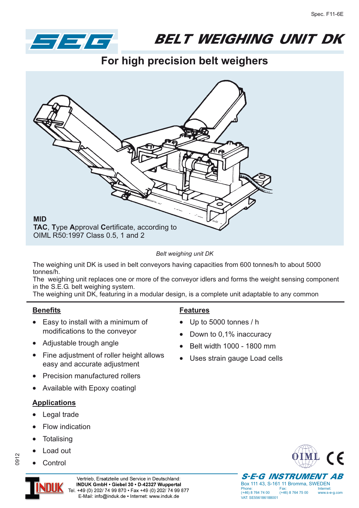

## **BELT WEIGHING UNIT DK** BELT WEIGHT WEIGHT

**For high precision belt weighers**



*Belt weighing unit DK*

The weighing unit DK is used in belt conveyors having capacities from 600 tonnes/h to about 5000 tonnes/h.

The weighing unit replaces one or more of the conveyor idlers and forms the weight sensing component in the S.E.G. belt weighing system.

The weighing unit DK, featuring in a modular design, is a complete unit adaptable to any common

## **Benefits**

- Easy to install with a minimum of modifications to the conveyor
- Adjustable trough angle
- Fine adjustment of roller height allows easy and accurate adjustment
- -Precision manufactured rollers
- -Available with Epoxy coatingl

## **Applications**

- -Legal trade
- -Flow indication
- -**Totalising**
- --Load out

**Control** 

## **Features**

- -Up to 5000 tonnes / h
- -Down to 0,1% inaccuracy
- -Belt width 1000 - 1800 mm
- $\bullet$ Uses strain gauge Load cells





0912